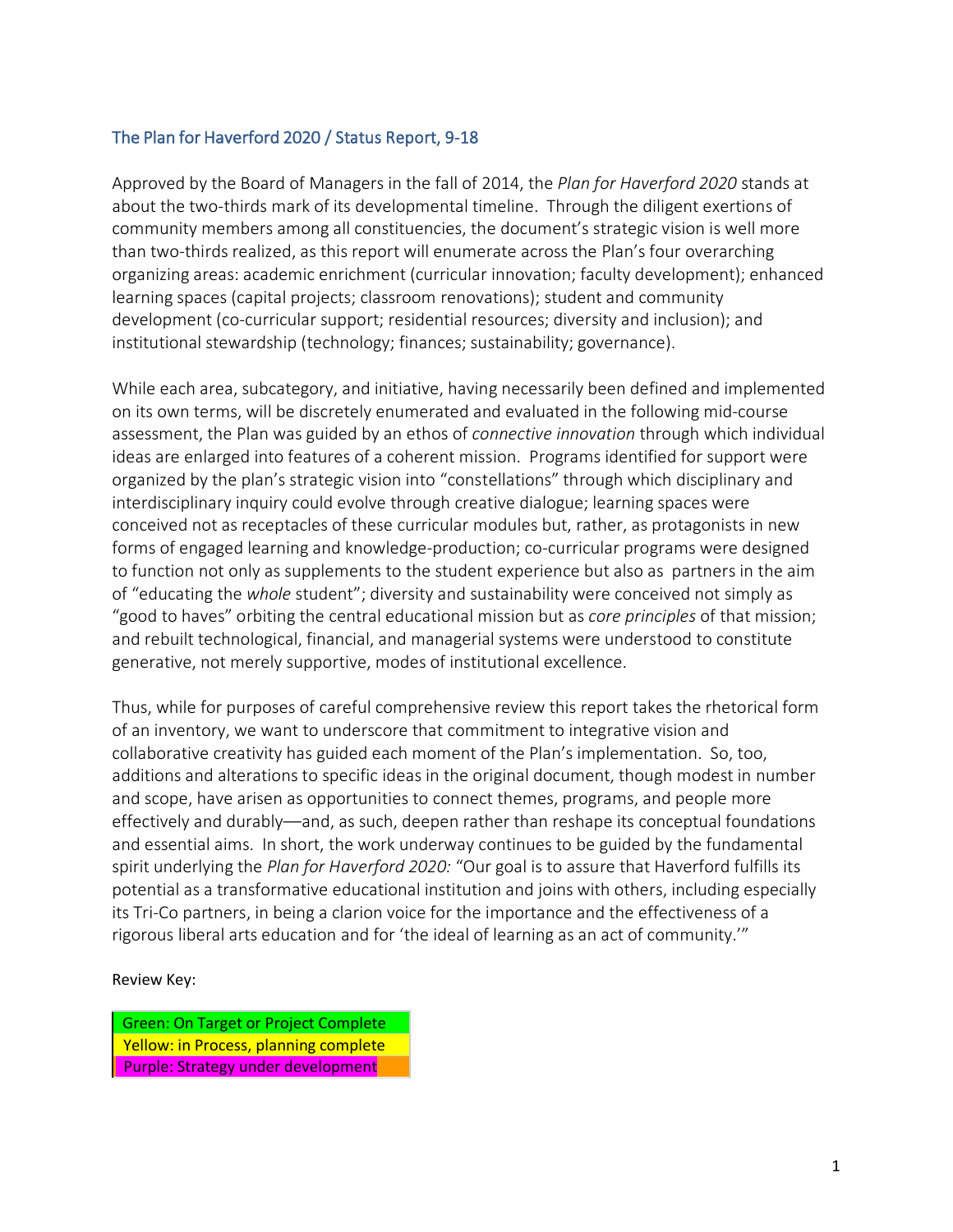### The Plan for Haverford 2020 / Status Report, 9-18

Approved by the Board of Managers in the fall of 2014, the *Plan for Haverford 2020* stands at about the two-thirds mark of its developmental timeline. Through the diligent exertions of community members among all constituencies, the document's strategic vision is well more than two-thirds realized, as this report will enumerate across the Plan's four overarching organizing areas: academic enrichment (curricular innovation; faculty development); enhanced learning spaces (capital projects; classroom renovations); student and community development (co-curricular support; residential resources; diversity and inclusion); and institutional stewardship (technology; finances; sustainability; governance).

While each area, subcategory, and initiative, having necessarily been defined and implemented on its own terms, will be discretely enumerated and evaluated in the following mid-course assessment, the Plan was guided by an ethos of *connective innovation* through which individual ideas are enlarged into features of a coherent mission. Programs identified for support were organized by the plan's strategic vision into "constellations" through which disciplinary and interdisciplinary inquiry could evolve through creative dialogue; learning spaces were conceived not as receptacles of these curricular modules but, rather, as protagonists in new forms of engaged learning and knowledge-production; co-curricular programs were designed to function not only as supplements to the student experience but also as partners in the aim of "educating the *whole* student"; diversity and sustainability were conceived not simply as "good to haves" orbiting the central educational mission but as *core principles* of that mission; and rebuilt technological, financial, and managerial systems were understood to constitute generative, not merely supportive, modes of institutional excellence.

Thus, while for purposes of careful comprehensive review this report takes the rhetorical form of an inventory, we want to underscore that commitment to integrative vision and collaborative creativity has guided each moment of the Plan's implementation. So, too, additions and alterations to specific ideas in the original document, though modest in number and scope, have arisen as opportunities to connect themes, programs, and people more effectively and durably––and, as such, deepen rather than reshape its conceptual foundations and essential aims. In short, the work underway continues to be guided by the fundamental spirit underlying the *Plan for Haverford 2020:* "Our goal is to assure that Haverford fulfills its potential as a transformative educational institution and joins with others, including especially its Tri-Co partners, in being a clarion voice for the importance and the effectiveness of a rigorous liberal arts education and for 'the ideal of learning as an act of community.'"

#### Review Key:

Green: On Target or Project Complete Yellow: in Process, planning complete Purple: Strategy under development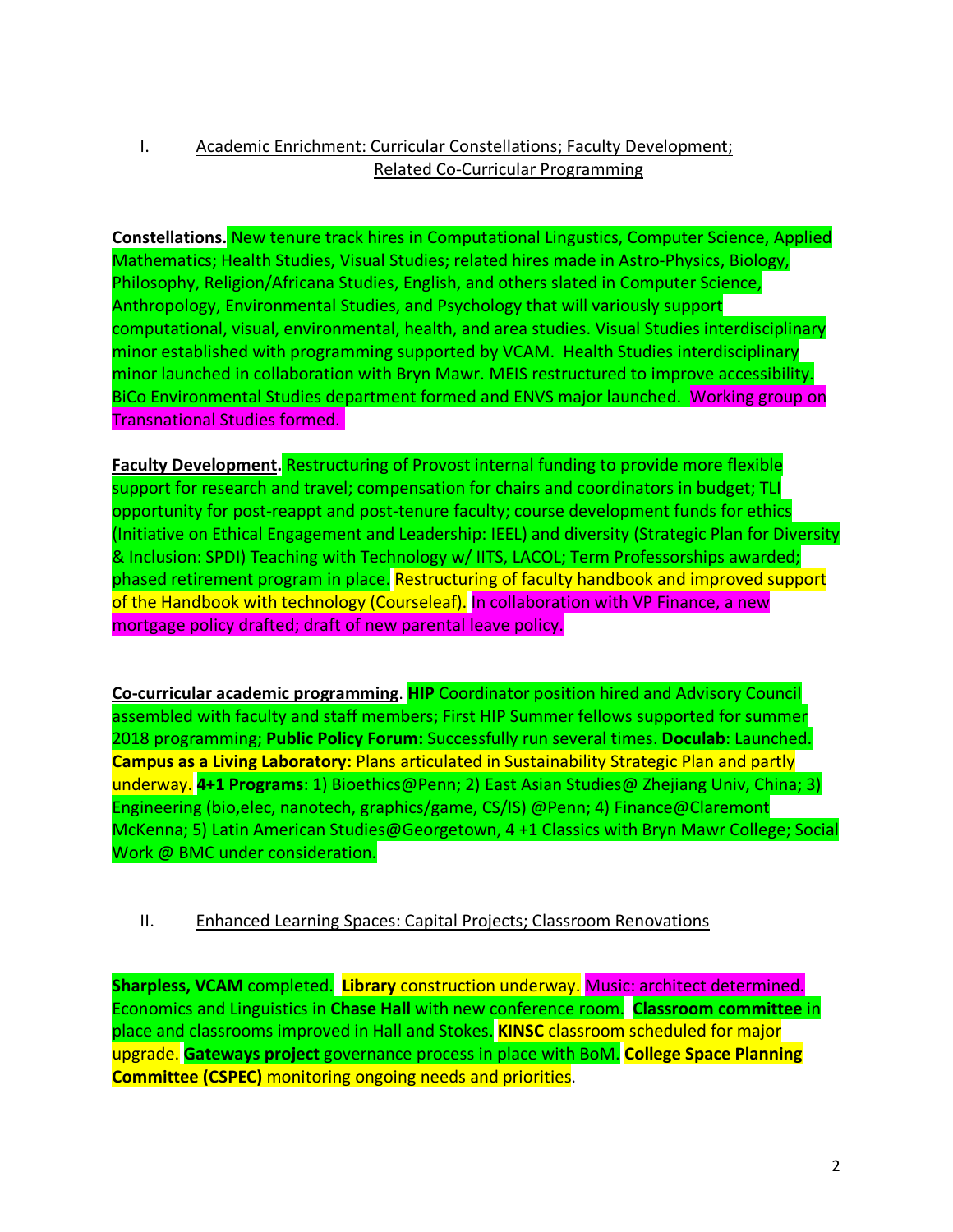# I. Academic Enrichment: Curricular Constellations; Faculty Development; Related Co-Curricular Programming

**Constellations.** New tenure track hires in Computational Lingustics, Computer Science, Applied Mathematics; Health Studies, Visual Studies; related hires made in Astro-Physics, Biology, Philosophy, Religion/Africana Studies, English, and others slated in Computer Science, Anthropology, Environmental Studies, and Psychology that will variously support computational, visual, environmental, health, and area studies. Visual Studies interdisciplinary minor established with programming supported by VCAM. Health Studies interdisciplinary minor launched in collaboration with Bryn Mawr. MEIS restructured to improve accessibility. BiCo Environmental Studies department formed and ENVS major launched. Working group on Transnational Studies formed.

**Faculty Development.** Restructuring of Provost internal funding to provide more flexible support for research and travel; compensation for chairs and coordinators in budget; TLI opportunity for post-reappt and post-tenure faculty; course development funds for ethics (Initiative on Ethical Engagement and Leadership: IEEL) and diversity (Strategic Plan for Diversity & Inclusion: SPDI) Teaching with Technology w/ IITS, LACOL; Term Professorships awarded; phased retirement program in place. Restructuring of faculty handbook and improved support of the Handbook with technology (Courseleaf). In collaboration with VP Finance, a new mortgage policy drafted; draft of new parental leave policy.

**Co-curricular academic programming**. **HIP** Coordinator position hired and Advisory Council assembled with faculty and staff members; First HIP Summer fellows supported for summer 2018 programming; **Public Policy Forum:** Successfully run several times. **Doculab**: Launched. **Campus as a Living Laboratory:** Plans articulated in Sustainability Strategic Plan and partly underway. **4+1 Programs**: 1) Bioethics@Penn; 2) East Asian Studies@ Zhejiang Univ, China; 3) Engineering (bio,elec, nanotech, graphics/game, CS/IS) @Penn; 4) Finance@Claremont McKenna; 5) Latin American Studies@Georgetown, 4 +1 Classics with Bryn Mawr College; Social Work @ BMC under consideration.

## II. Enhanced Learning Spaces: Capital Projects; Classroom Renovations

**Sharpless, VCAM** completed. **Library** construction underway. Music: architect determined. Economics and Linguistics in **Chase Hall** with new conference room. **Classroom committee** in place and classrooms improved in Hall and Stokes. **KINSC** classroom scheduled for major upgrade. **Gateways project** governance process in place with BoM. **College Space Planning Committee (CSPEC)** monitoring ongoing needs and priorities.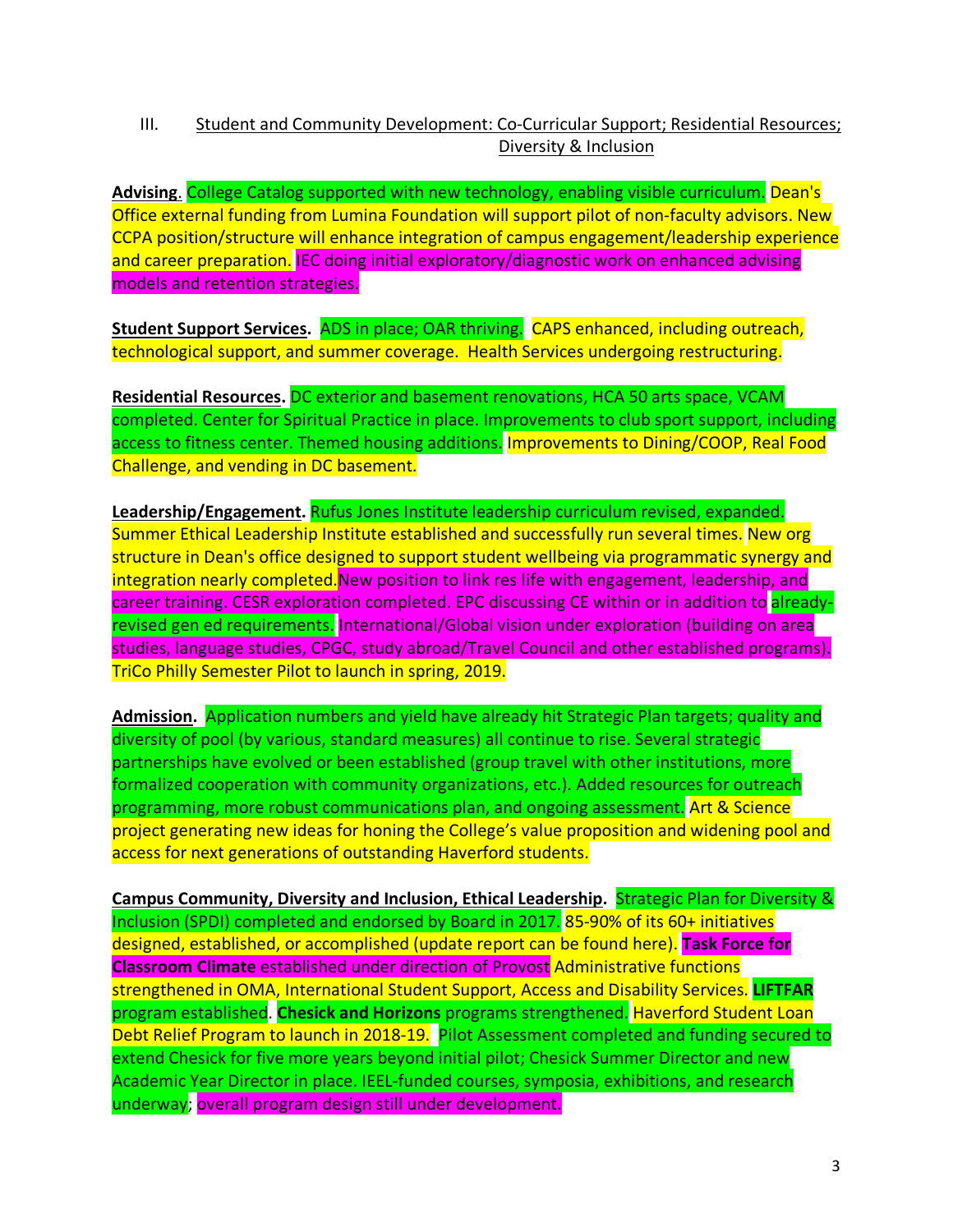# III. Student and Community Development: Co-Curricular Support; Residential Resources; Diversity & Inclusion

**Advising**. College Catalog supported with new technology, enabling visible curriculum. Dean's Office external funding from Lumina Foundation will support pilot of non-faculty advisors. New CCPA position/structure will enhance integration of campus engagement/leadership experience and career preparation. IEC doing initial exploratory/diagnostic work on enhanced advising models and retention strategies.

**Student Support Services.** ADS in place; OAR thriving. CAPS enhanced, including outreach, technological support, and summer coverage. Health Services undergoing restructuring.

**Residential Resources.** DC exterior and basement renovations, HCA 50 arts space, VCAM completed. Center for Spiritual Practice in place. Improvements to club sport support, including access to fitness center. Themed housing additions. Improvements to Dining/COOP, Real Food Challenge, and vending in DC basement.

**Leadership/Engagement.** Rufus Jones Institute leadership curriculum revised, expanded. Summer Ethical Leadership Institute established and successfully run several times. New org structure in Dean's office designed to support student wellbeing via programmatic synergy and integration nearly completed. New position to link res life with engagement, leadership, and career training. CESR exploration completed. EPC discussing CE within or in addition to alreadyrevised gen ed requirements. International/Global vision under exploration (building on area studies, language studies, CPGC, study abroad/Travel Council and other established programs). TriCo Philly Semester Pilot to launch in spring, 2019.

**Admission.** Application numbers and yield have already hit Strategic Plan targets; quality and diversity of pool (by various, standard measures) all continue to rise. Several strategic partnerships have evolved or been established (group travel with other institutions, more formalized cooperation with community organizations, etc.). Added resources for outreach programming, more robust communications plan, and ongoing assessment. Art & Science project generating new ideas for honing the College's value proposition and widening pool and access for next generations of outstanding Haverford students.

**Campus Community, Diversity and Inclusion, Ethical Leadership.** Strategic Plan for Diversity & Inclusion (SPDI) completed and endorsed by Board in 2017. 85-90% of its 60+ initiatives designed, established, or accomplished (update report can be found here). **Task Force for Classroom Climate** established under direction of Provost Administrative functions strengthened in OMA, International Student Support, Access and Disability Services. **LIFTFAR** program established. **Chesick and Horizons** programs strengthened. Haverford Student Loan Debt Relief Program to launch in 2018-19. Pilot Assessment completed and funding secured to extend Chesick for five more years beyond initial pilot; Chesick Summer Director and new Academic Year Director in place. IEEL-funded courses, symposia, exhibitions, and research underway; overall program design still under development.